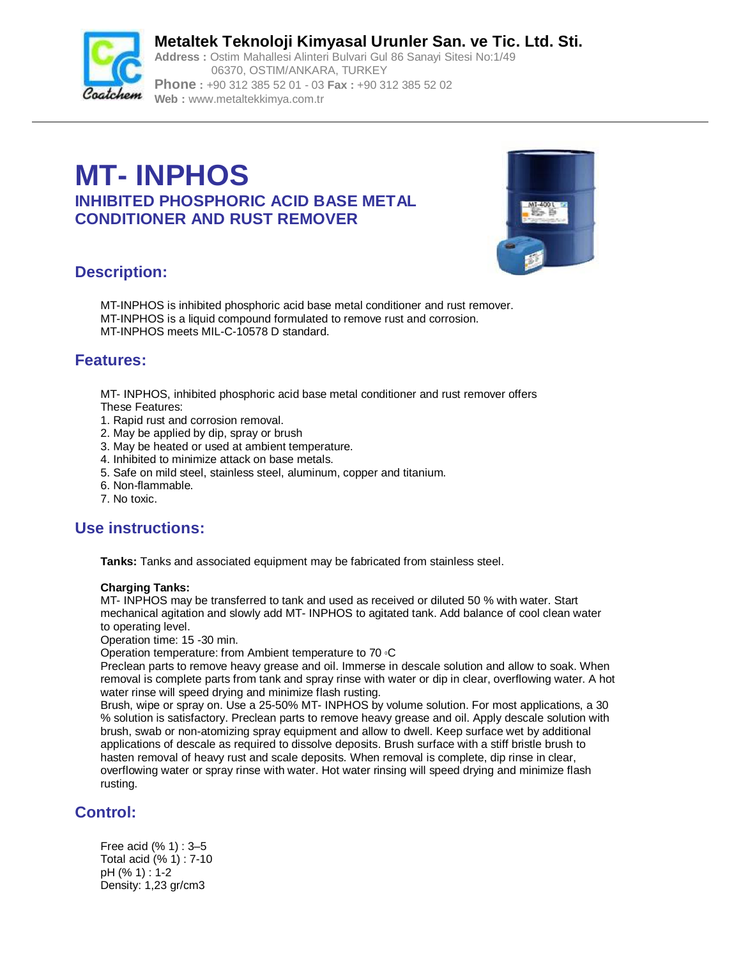

**Metaltek Teknoloji Kimyasal Urunler San. ve Tic. Ltd. Sti. Address :** Ostim Mahallesi Alinteri Bulvari Gul 86 Sanayi Sitesi No:1/49

06370, OSTIM/ANKARA, TURKEY **Phone :** +90 312 385 52 01 - 03 **Fax :** +90 312 385 52 02 **Web :** [www.metaltekkimya.com.tr](http://www.metaltekkimya.com.tr)

# **MT- INPHOS INHIBITED PHOSPHORIC ACID BASE METAL CONDITIONER AND RUST REMOVER**



# **Description:**

MT-INPHOS is inhibited phosphoric acid base metal conditioner and rust remover. MT-INPHOS is a liquid compound formulated to remove rust and corrosion. MT-INPHOS meets MIL-C-10578 D standard.

#### **Features:**

MT- INPHOS, inhibited phosphoric acid base metal conditioner and rust remover offers These Features:

- 1. Rapid rust and corrosion removal.
- 2. May be applied by dip, spray or brush
- 3. May be heated or used at ambient temperature.
- 4. Inhibited to minimize attack on base metals.
- 5. Safe on mild steel, stainless steel, aluminum, copper and titanium.
- 6. Non-flammable.
- 7. No toxic.

# **Use instructions:**

**Tanks:** Tanks and associated equipment may be fabricated from stainless steel.

#### **Charging Tanks:**

MT- INPHOS may be transferred to tank and used as received or diluted 50 % with water. Start mechanical agitation and slowly add MT- INPHOS to agitated tank. Add balance of cool clean water to operating level.

Operation time: 15 -30 min.

Operation temperature: from Ambient temperature to 70 °C

Preclean parts to remove heavy grease and oil. Immerse in descale solution and allow to soak. When removal is complete parts from tank and spray rinse with water or dip in clear, overflowing water. A hot water rinse will speed drying and minimize flash rusting.

Brush, wipe or spray on. Use a 25-50% MT- INPHOS by volume solution. For most applications, a 30 % solution is satisfactory. Preclean parts to remove heavy grease and oil. Apply descale solution with brush, swab or non-atomizing spray equipment and allow to dwell. Keep surface wet by additional applications of descale as required to dissolve deposits. Brush surface with a stiff bristle brush to hasten removal of heavy rust and scale deposits. When removal is complete, dip rinse in clear, overflowing water or spray rinse with water. Hot water rinsing will speed drying and minimize flash rusting.

# **Control:**

Free acid (% 1) : 3–5 Total acid (% 1) : 7-10 pH (% 1) : 1-2 Density: 1,23 gr/cm3